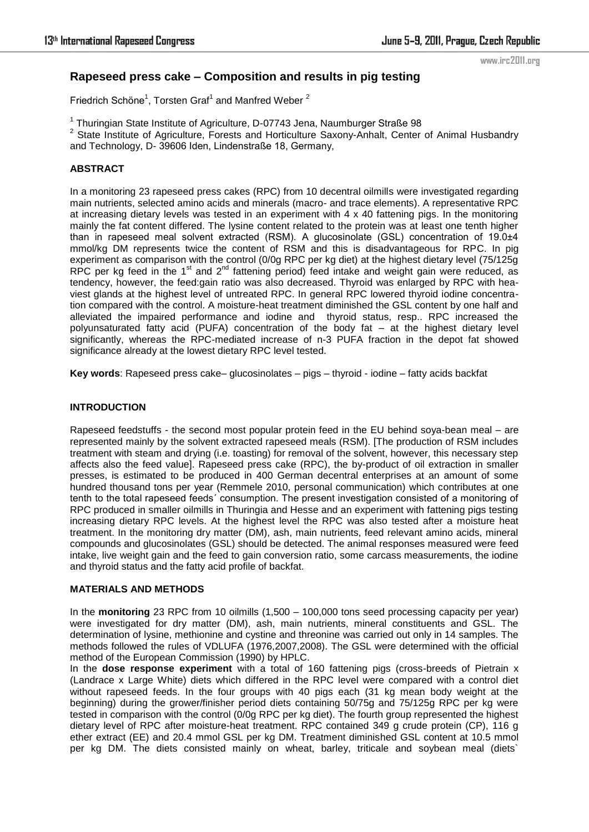www.irc2011.org

# **Rapeseed press cake – Composition and results in pig testing**

Friedrich Schöne<sup>1</sup>, Torsten Graf<sup>1</sup> and Manfred Weber<sup>2</sup>

<sup>1</sup> Thuringian State Institute of Agriculture, D-07743 Jena, Naumburger Straße 98 <sup>2</sup> State Institute of Agriculture, Forests and Horticulture Saxony-Anhalt, Center of Animal Husbandry and Technology, D- 39606 Iden, Lindenstraße 18, Germany,

# **ABSTRACT**

In a monitoring 23 rapeseed press cakes (RPC) from 10 decentral oilmills were investigated regarding main nutrients, selected amino acids and minerals (macro- and trace elements). A representative RPC at increasing dietary levels was tested in an experiment with 4 x 40 fattening pigs. In the monitoring mainly the fat content differed. The lysine content related to the protein was at least one tenth higher than in rapeseed meal solvent extracted (RSM). A glucosinolate (GSL) concentration of 19.0±4 mmol/kg DM represents twice the content of RSM and this is disadvantageous for RPC. In pig experiment as comparison with the control (0/0g RPC per kg diet) at the highest dietary level (75/125g RPC per kg feed in the 1<sup>st</sup> and 2<sup>nd</sup> fattening period) feed intake and weight gain were reduced, as tendency, however, the feed:gain ratio was also decreased. Thyroid was enlarged by RPC with heaviest glands at the highest level of untreated RPC. In general RPC lowered thyroid iodine concentration compared with the control. A moisture-heat treatment diminished the GSL content by one half and alleviated the impaired performance and iodine and thyroid status, resp.. RPC increased the polyunsaturated fatty acid (PUFA) concentration of the body fat – at the highest dietary level significantly, whereas the RPC-mediated increase of n-3 PUFA fraction in the depot fat showed significance already at the lowest dietary RPC level tested.

**Key words**: Rapeseed press cake– glucosinolates – pigs – thyroid - iodine – fatty acids backfat

# **INTRODUCTION**

Rapeseed feedstuffs - the second most popular protein feed in the EU behind soya-bean meal – are represented mainly by the solvent extracted rapeseed meals (RSM). [The production of RSM includes treatment with steam and drying (i.e. toasting) for removal of the solvent, however, this necessary step affects also the feed value]. Rapeseed press cake (RPC), the by-product of oil extraction in smaller presses, is estimated to be produced in 400 German decentral enterprises at an amount of some hundred thousand tons per year (Remmele 2010, personal communication) which contributes at one tenth to the total rapeseed feeds´ consumption. The present investigation consisted of a monitoring of RPC produced in smaller oilmills in Thuringia and Hesse and an experiment with fattening pigs testing increasing dietary RPC levels. At the highest level the RPC was also tested after a moisture heat treatment. In the monitoring dry matter (DM), ash, main nutrients, feed relevant amino acids, mineral compounds and glucosinolates (GSL) should be detected. The animal responses measured were feed intake, live weight gain and the feed to gain conversion ratio, some carcass measurements, the iodine and thyroid status and the fatty acid profile of backfat.

# **MATERIALS AND METHODS**

In the **monitoring** 23 RPC from 10 oilmills (1,500 – 100,000 tons seed processing capacity per year) were investigated for dry matter (DM), ash, main nutrients, mineral constituents and GSL. The determination of lysine, methionine and cystine and threonine was carried out only in 14 samples. The methods followed the rules of VDLUFA (1976,2007,2008). The GSL were determined with the official method of the European Commission (1990) by HPLC.

In the **dose response experiment** with a total of 160 fattening pigs (cross-breeds of Pietrain x (Landrace x Large White) diets which differed in the RPC level were compared with a control diet without rapeseed feeds. In the four groups with 40 pigs each (31 kg mean body weight at the beginning) during the grower/finisher period diets containing 50/75g and 75/125g RPC per kg were tested in comparison with the control (0/0g RPC per kg diet). The fourth group represented the highest dietary level of RPC after moisture-heat treatment. RPC contained 349 g crude protein (CP), 116 g ether extract (EE) and 20.4 mmol GSL per kg DM. Treatment diminished GSL content at 10.5 mmol per kg DM. The diets consisted mainly on wheat, barley, triticale and soybean meal (diets`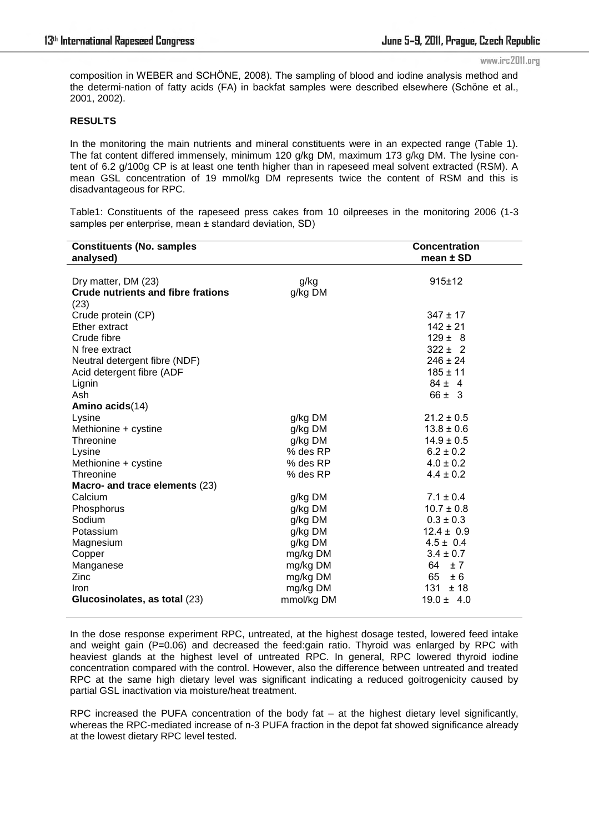www.irc2011.org

composition in WEBER and SCHÖNE, 2008). The sampling of blood and iodine analysis method and the determi-nation of fatty acids (FA) in backfat samples were described elsewhere (Schöne et al., 2001, 2002).

### **RESULTS**

In the monitoring the main nutrients and mineral constituents were in an expected range (Table 1). The fat content differed immensely, minimum 120 g/kg DM, maximum 173 g/kg DM. The lysine content of 6.2 g/100g CP is at least one tenth higher than in rapeseed meal solvent extracted (RSM). A mean GSL concentration of 19 mmol/kg DM represents twice the content of RSM and this is disadvantageous for RPC.

Table1: Constituents of the rapeseed press cakes from 10 oilpreeses in the monitoring 2006 (1-3 samples per enterprise, mean ± standard deviation, SD)

| <b>Constituents (No. samples</b>          |            | <b>Concentration</b> |
|-------------------------------------------|------------|----------------------|
| analysed)                                 |            | mean ± SD            |
|                                           |            |                      |
| Dry matter, DM (23)                       | g/kg       | 915±12               |
| <b>Crude nutrients and fibre frations</b> | g/kg DM    |                      |
| (23)                                      |            |                      |
| Crude protein (CP)                        |            | $347 \pm 17$         |
| Ether extract                             |            | $142 \pm 21$         |
| Crude fibre                               |            | $129 \pm 8$          |
| N free extract                            |            | $322 \pm 2$          |
| Neutral detergent fibre (NDF)             |            | $246 \pm 24$         |
| Acid detergent fibre (ADF                 |            | $185 \pm 11$         |
| Lignin                                    |            | $84 \pm 4$           |
| Ash                                       |            | $66 \pm 3$           |
| Amino acids(14)                           |            |                      |
| Lysine                                    | g/kg DM    | $21.2 \pm 0.5$       |
| Methionine + cystine                      | g/kg DM    | $13.8 \pm 0.6$       |
| Threonine                                 | g/kg DM    | $14.9 \pm 0.5$       |
| Lysine                                    | % des RP   | $6.2 \pm 0.2$        |
| Methionine + cystine                      | % des RP   | $4.0 \pm 0.2$        |
| Threonine                                 | $%$ des RP | $4.4 \pm 0.2$        |
| Macro- and trace elements (23)            |            |                      |
| Calcium                                   | g/kg DM    | $7.1 \pm 0.4$        |
| Phosphorus                                | g/kg DM    | $10.7 \pm 0.8$       |
| Sodium                                    | g/kg DM    | $0.3 \pm 0.3$        |
| Potassium                                 | g/kg DM    | $12.4 \pm 0.9$       |
| Magnesium                                 | g/kg DM    | $4.5 \pm 0.4$        |
| Copper                                    | mg/kg DM   | $3.4 \pm 0.7$        |
| Manganese                                 | mg/kg DM   | 64<br>±7             |
| Zinc                                      | mg/kg DM   | 65<br>± 6            |
| <b>Iron</b>                               | mg/kg DM   | $131 \pm 18$         |
| Glucosinolates, as total (23)             | mmol/kg DM | $19.0 \pm 4.0$       |

In the dose response experiment RPC, untreated, at the highest dosage tested, lowered feed intake and weight gain ( $P=0.06$ ) and decreased the feed:gain ratio. Thyroid was enlarged by RPC with heaviest glands at the highest level of untreated RPC. In general, RPC lowered thyroid iodine concentration compared with the control. However, also the difference between untreated and treated RPC at the same high dietary level was significant indicating a reduced goitrogenicity caused by partial GSL inactivation via moisture/heat treatment.

RPC increased the PUFA concentration of the body fat – at the highest dietary level significantly, whereas the RPC-mediated increase of n-3 PUFA fraction in the depot fat showed significance already at the lowest dietary RPC level tested.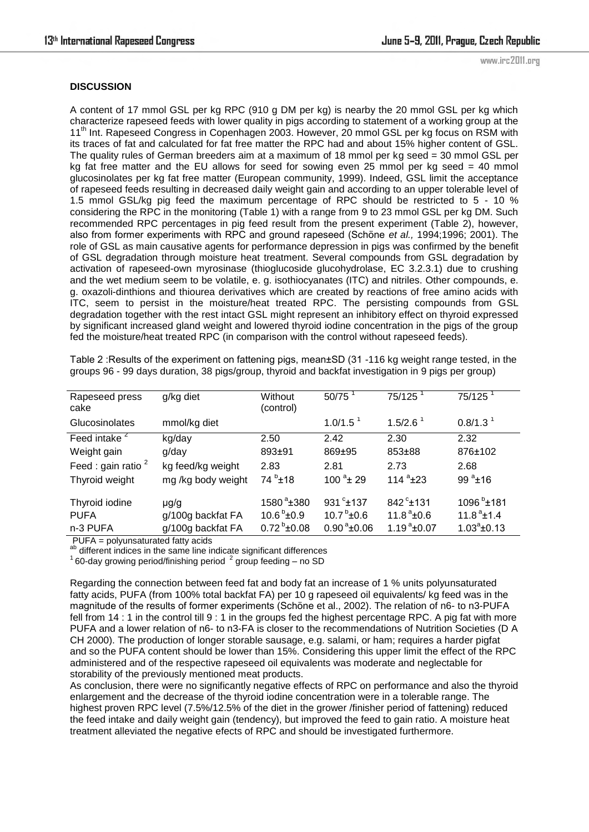### **DISCUSSION**

A content of 17 mmol GSL per kg RPC (910 g DM per kg) is nearby the 20 mmol GSL per kg which characterize rapeseed feeds with lower quality in pigs according to statement of a working group at the 11<sup>th</sup> Int. Rapeseed Congress in Copenhagen 2003. However, 20 mmol GSL per kg focus on RSM with its traces of fat and calculated for fat free matter the RPC had and about 15% higher content of GSL. The quality rules of German breeders aim at a maximum of 18 mmol per kg seed = 30 mmol GSL per kg fat free matter and the EU allows for seed for sowing even 25 mmol per kg seed = 40 mmol glucosinolates per kg fat free matter (European community, 1999). Indeed, GSL limit the acceptance of rapeseed feeds resulting in decreased daily weight gain and according to an upper tolerable level of 1.5 mmol GSL/kg pig feed the maximum percentage of RPC should be restricted to 5 - 10 % considering the RPC in the monitoring (Table 1) with a range from 9 to 23 mmol GSL per kg DM. Such recommended RPC percentages in pig feed result from the present experiment (Table 2), however, also from former experiments with RPC and ground rapeseed (Schöne *et al.,* 1994;1996; 2001). The role of GSL as main causative agents for performance depression in pigs was confirmed by the benefit of GSL degradation through moisture heat treatment. Several compounds from GSL degradation by activation of rapeseed-own myrosinase (thioglucoside glucohydrolase, EC 3.2.3.1) due to crushing and the wet medium seem to be volatile, e. g. isothiocyanates (ITC) and nitriles. Other compounds, e. g. oxazoli-dinthions and thiourea derivatives which are created by reactions of free amino acids with ITC, seem to persist in the moisture/heat treated RPC. The persisting compounds from GSL degradation together with the rest intact GSL might represent an inhibitory effect on thyroid expressed by significant increased gland weight and lowered thyroid iodine concentration in the pigs of the group fed the moisture/heat treated RPC (in comparison with the control without rapeseed feeds).

Table 2 : Results of the experiment on fattening pigs, mean $\pm$ SD (31 -116 kg weight range tested, in the groups 96 - 99 days duration, 38 pigs/group, thyroid and backfat investigation in 9 pigs per group)

| Rapeseed press<br>cake   | g/kg diet          | Without<br>(control)  | 50/75                   | 75/125                     | 75/125                    |
|--------------------------|--------------------|-----------------------|-------------------------|----------------------------|---------------------------|
| Glucosinolates           | mmol/kg diet       |                       | 1.0/1.5 <sup>1</sup>    | $1.5/2.6$ <sup>1</sup>     | 0.8/1.3 <sup>1</sup>      |
| Feed intake <sup>2</sup> | kg/day             | 2.50                  | 2.42                    | 2.30                       | 2.32                      |
| Weight gain              | g/day              | 893±91                | 869±95                  | 853±88                     | 876±102                   |
| Feed : gain ratio $2$    | kg feed/kg weight  | 2.83                  | 2.81                    | 2.73                       | 2.68                      |
| Thyroid weight           | mg /kg body weight | $74^{b}$ ±18          | $100^{a}$ ± 29          | 114 $a$ <sup>a</sup> $±23$ | 99 $^{a}$ ±16             |
| Thyroid iodine           | $\mu$ g/g          | $1580^{\degree}$ ±380 | 931 $^{\circ}$ ±137     | $842^{\circ}$ ±131         | $1096^{b}$ ±181           |
| <b>PUFA</b>              | g/100g backfat FA  | $10.6^{\circ}$ ±0.9   | $10.7^{b}$ ±0.6         | $11.8^{\degree}$ ±0.6      | $11.8^{\text{a}} \pm 1.4$ |
| n-3 PUFA                 | g/100g backfat FA  | $0.72^{b}$ ±0.08      | $0.90^{\text{a}}$ ±0.06 | $1.19^{a}$ ±0.07           | $1.03^a \pm 0.13$         |

PUFA = polyunsaturated fatty acids

ab different indices in the same line indicate significant differences

 $160$ -day growing period/finishing period  $2$  group feeding – no SD

Regarding the connection between feed fat and body fat an increase of 1 % units polyunsaturated fatty acids, PUFA (from 100% total backfat FA) per 10 g rapeseed oil equivalents/ kg feed was in the magnitude of the results of former experiments (Schöne et al., 2002). The relation of n6- to n3-PUFA fell from 14 : 1 in the control till 9 : 1 in the groups fed the highest percentage RPC. A pig fat with more PUFA and a lower relation of n6- to n3-FA is closer to the recommendations of Nutrition Societies (D A CH 2000). The production of longer storable sausage, e.g. salami, or ham; requires a harder pigfat and so the PUFA content should be lower than 15%. Considering this upper limit the effect of the RPC administered and of the respective rapeseed oil equivalents was moderate and neglectable for storability of the previously mentioned meat products.

As conclusion, there were no significantly negative effects of RPC on performance and also the thyroid enlargement and the decrease of the thyroid iodine concentration were in a tolerable range. The highest proven RPC level (7.5%/12.5% of the diet in the grower /finisher period of fattening) reduced the feed intake and daily weight gain (tendency), but improved the feed to gain ratio. A moisture heat treatment alleviated the negative efects of RPC and should be investigated furthermore.